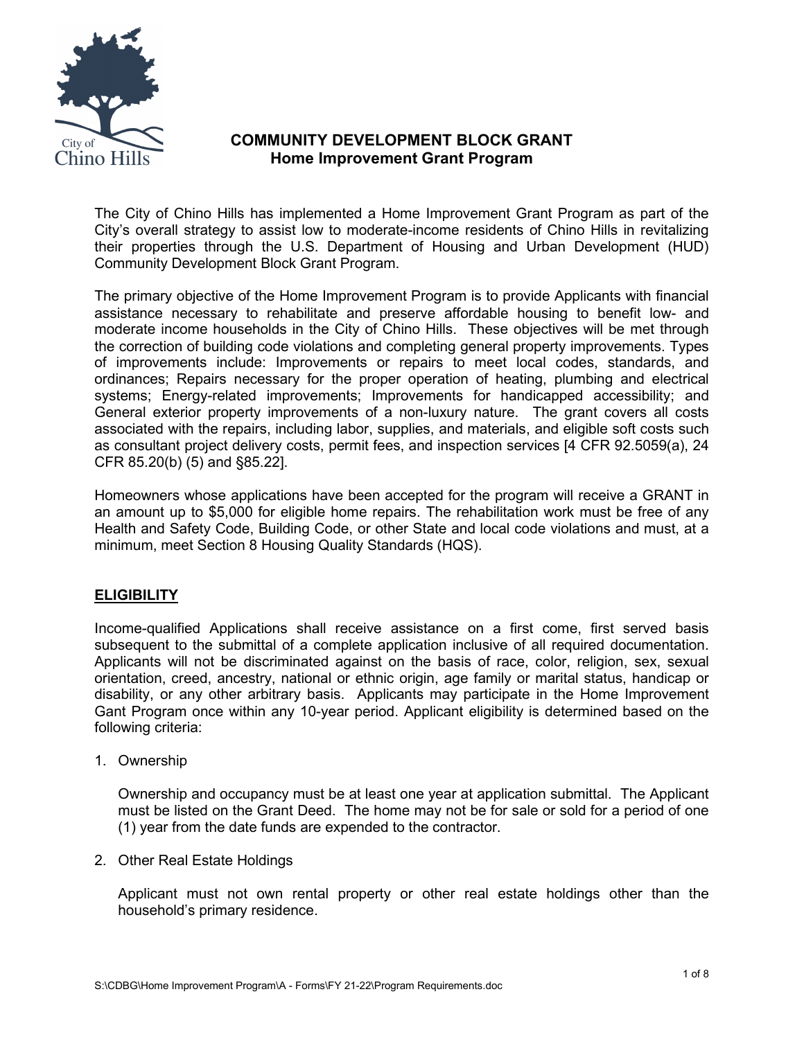

# **COMMUNITY DEVELOPMENT BLOCK GRANT Home Improvement Grant Program**

The City of Chino Hills has implemented a Home Improvement Grant Program as part of the City's overall strategy to assist low to moderate-income residents of Chino Hills in revitalizing their properties through the U.S. Department of Housing and Urban Development (HUD) Community Development Block Grant Program.

The primary objective of the Home Improvement Program is to provide Applicants with financial assistance necessary to rehabilitate and preserve affordable housing to benefit low- and moderate income households in the City of Chino Hills. These objectives will be met through the correction of building code violations and completing general property improvements. Types of improvements include: Improvements or repairs to meet local codes, standards, and ordinances; Repairs necessary for the proper operation of heating, plumbing and electrical systems; Energy-related improvements; Improvements for handicapped accessibility; and General exterior property improvements of a non-luxury nature. The grant covers all costs associated with the repairs, including labor, supplies, and materials, and eligible soft costs such as consultant project delivery costs, permit fees, and inspection services [4 CFR 92.5059(a), 24 CFR 85.20(b) (5) and §85.22].

Homeowners whose applications have been accepted for the program will receive a GRANT in an amount up to \$5,000 for eligible home repairs. The rehabilitation work must be free of any Health and Safety Code, Building Code, or other State and local code violations and must, at a minimum, meet Section 8 Housing Quality Standards (HQS).

# **ELIGIBILITY**

Income-qualified Applications shall receive assistance on a first come, first served basis subsequent to the submittal of a complete application inclusive of all required documentation. Applicants will not be discriminated against on the basis of race, color, religion, sex, sexual orientation, creed, ancestry, national or ethnic origin, age family or marital status, handicap or disability, or any other arbitrary basis. Applicants may participate in the Home Improvement Gant Program once within any 10-year period. Applicant eligibility is determined based on the following criteria:

1. Ownership

Ownership and occupancy must be at least one year at application submittal. The Applicant must be listed on the Grant Deed. The home may not be for sale or sold for a period of one (1) year from the date funds are expended to the contractor.

2. Other Real Estate Holdings

Applicant must not own rental property or other real estate holdings other than the household's primary residence.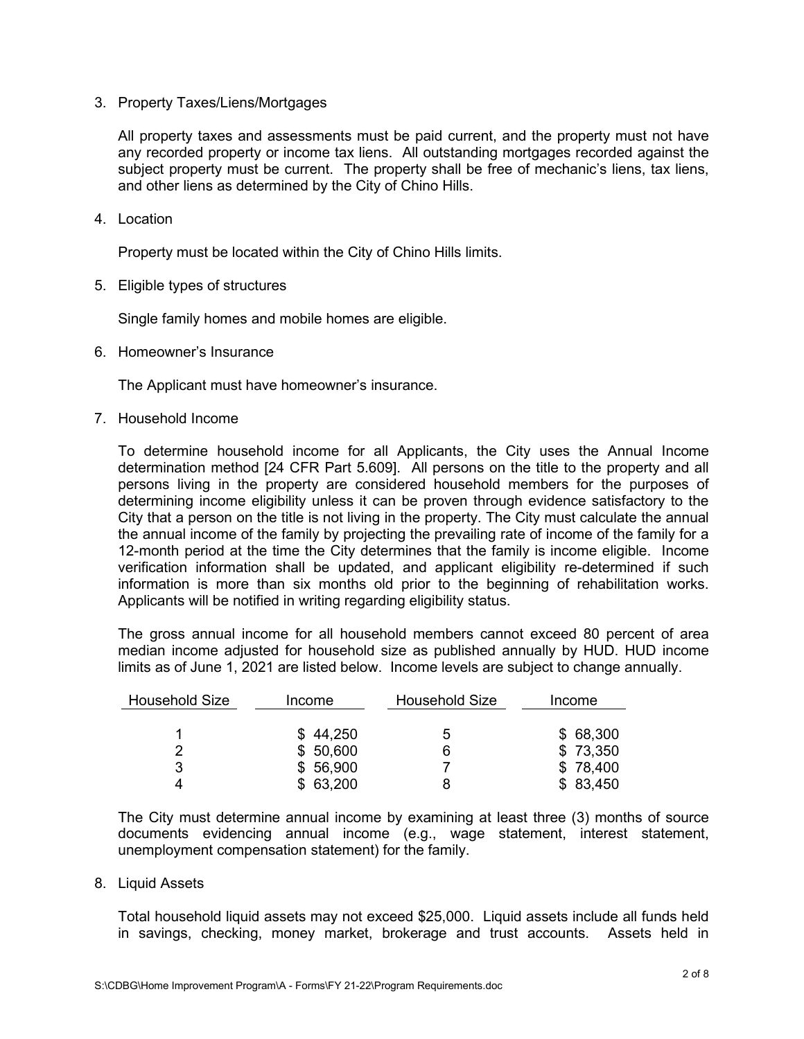3. Property Taxes/Liens/Mortgages

All property taxes and assessments must be paid current, and the property must not have any recorded property or income tax liens. All outstanding mortgages recorded against the subject property must be current. The property shall be free of mechanic's liens, tax liens, and other liens as determined by the City of Chino Hills.

4. Location

Property must be located within the City of Chino Hills limits.

5. Eligible types of structures

Single family homes and mobile homes are eligible.

6. Homeowner's Insurance

The Applicant must have homeowner's insurance.

7. Household Income

To determine household income for all Applicants, the City uses the Annual Income determination method [24 CFR Part 5.609]. All persons on the title to the property and all persons living in the property are considered household members for the purposes of determining income eligibility unless it can be proven through evidence satisfactory to the City that a person on the title is not living in the property. The City must calculate the annual the annual income of the family by projecting the prevailing rate of income of the family for a 12-month period at the time the City determines that the family is income eligible. Income verification information shall be updated, and applicant eligibility re-determined if such information is more than six months old prior to the beginning of rehabilitation works. Applicants will be notified in writing regarding eligibility status.

The gross annual income for all household members cannot exceed 80 percent of area median income adjusted for household size as published annually by HUD. HUD income limits as of June 1, 2021 are listed below. Income levels are subject to change annually.

| <b>Household Size</b> | Income   | <b>Household Size</b> | Income   |
|-----------------------|----------|-----------------------|----------|
|                       |          |                       |          |
|                       | \$44,250 | Ⴆ                     | \$68,300 |
|                       | \$50,600 | 6                     | \$73,350 |
| 3                     | \$56,900 |                       | \$78,400 |
|                       | \$63,200 |                       | \$83,450 |

The City must determine annual income by examining at least three (3) months of source documents evidencing annual income (e.g., wage statement, interest statement, unemployment compensation statement) for the family.

#### 8. Liquid Assets

Total household liquid assets may not exceed \$25,000. Liquid assets include all funds held in savings, checking, money market, brokerage and trust accounts. Assets held in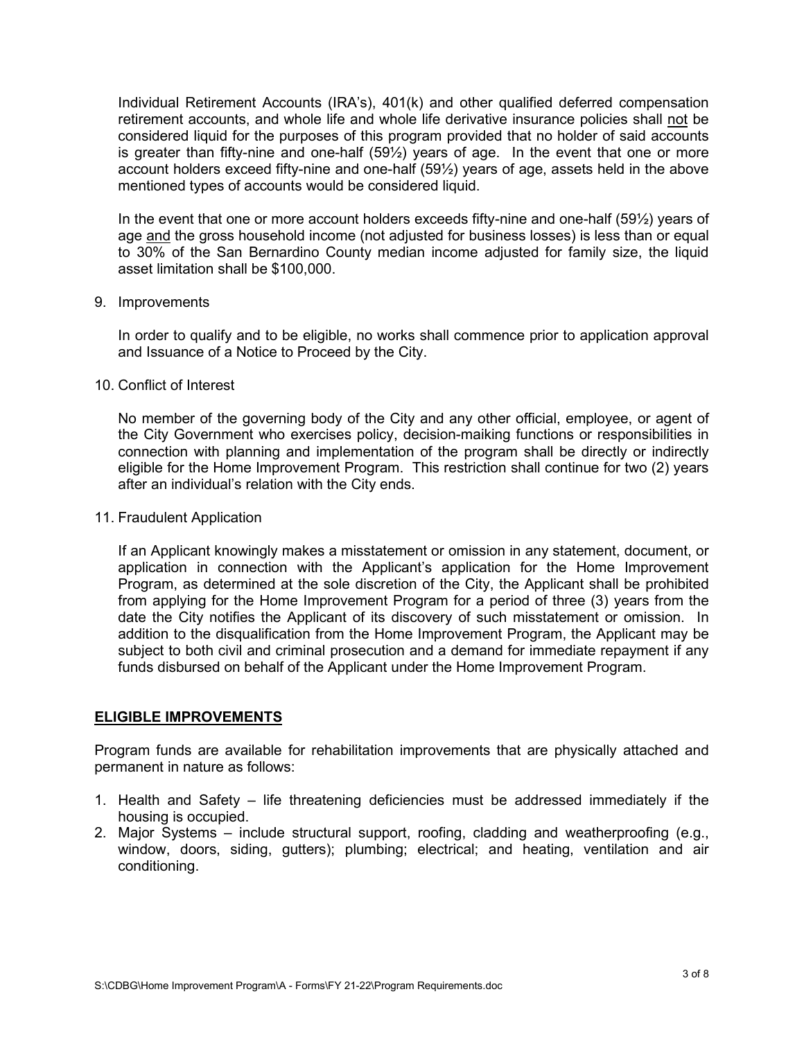Individual Retirement Accounts (IRA's), 401(k) and other qualified deferred compensation retirement accounts, and whole life and whole life derivative insurance policies shall not be considered liquid for the purposes of this program provided that no holder of said accounts is greater than fifty-nine and one-half (59½) years of age. In the event that one or more account holders exceed fifty-nine and one-half (59½) years of age, assets held in the above mentioned types of accounts would be considered liquid.

In the event that one or more account holders exceeds fifty-nine and one-half (59½) years of age and the gross household income (not adjusted for business losses) is less than or equal to 30% of the San Bernardino County median income adjusted for family size, the liquid asset limitation shall be \$100,000.

#### 9. Improvements

In order to qualify and to be eligible, no works shall commence prior to application approval and Issuance of a Notice to Proceed by the City.

10. Conflict of Interest

No member of the governing body of the City and any other official, employee, or agent of the City Government who exercises policy, decision-maiking functions or responsibilities in connection with planning and implementation of the program shall be directly or indirectly eligible for the Home Improvement Program. This restriction shall continue for two (2) years after an individual's relation with the City ends.

11. Fraudulent Application

If an Applicant knowingly makes a misstatement or omission in any statement, document, or application in connection with the Applicant's application for the Home Improvement Program, as determined at the sole discretion of the City, the Applicant shall be prohibited from applying for the Home Improvement Program for a period of three (3) years from the date the City notifies the Applicant of its discovery of such misstatement or omission. In addition to the disqualification from the Home Improvement Program, the Applicant may be subject to both civil and criminal prosecution and a demand for immediate repayment if any funds disbursed on behalf of the Applicant under the Home Improvement Program.

## **ELIGIBLE IMPROVEMENTS**

Program funds are available for rehabilitation improvements that are physically attached and permanent in nature as follows:

- 1. Health and Safety life threatening deficiencies must be addressed immediately if the housing is occupied.
- 2. Major Systems include structural support, roofing, cladding and weatherproofing (e.g., window, doors, siding, gutters); plumbing; electrical; and heating, ventilation and air conditioning.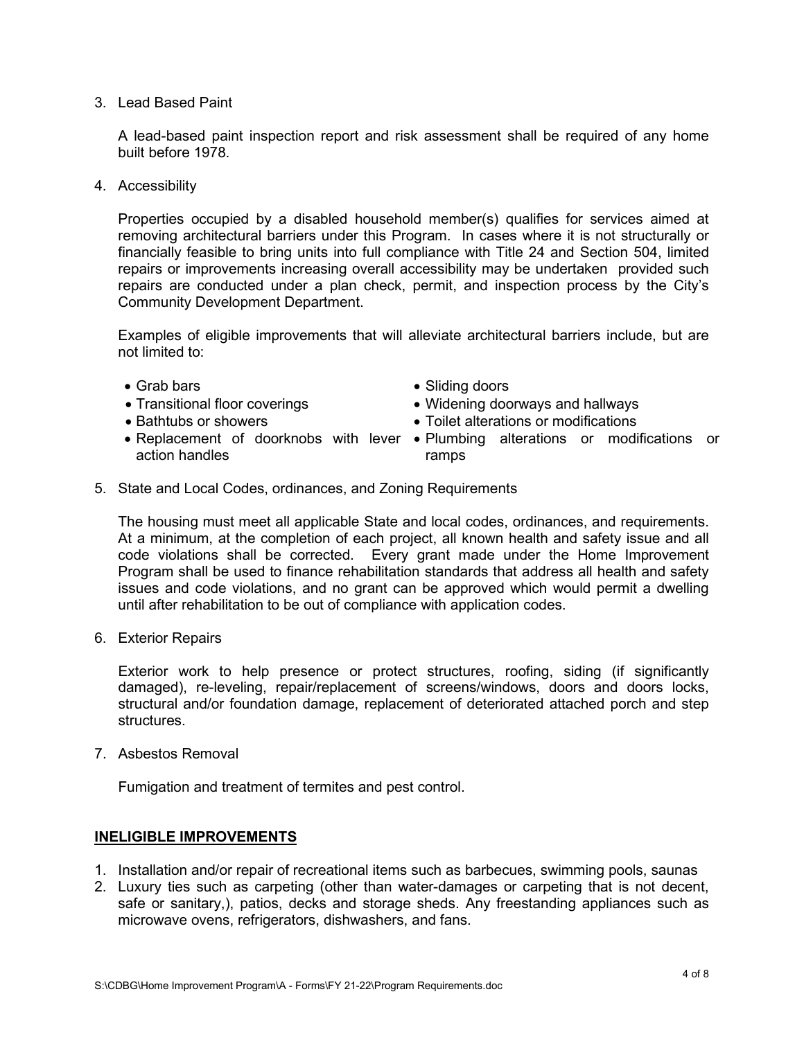3. Lead Based Paint

A lead-based paint inspection report and risk assessment shall be required of any home built before 1978.

4. Accessibility

Properties occupied by a disabled household member(s) qualifies for services aimed at removing architectural barriers under this Program. In cases where it is not structurally or financially feasible to bring units into full compliance with Title 24 and Section 504, limited repairs or improvements increasing overall accessibility may be undertaken provided such repairs are conducted under a plan check, permit, and inspection process by the City's Community Development Department.

Examples of eligible improvements that will alleviate architectural barriers include, but are not limited to:

- 
- 
- 
- action handles
- Grab bars Sliding doors
- Transitional floor coverings  **Widening doorways and hallways**
- Bathtubs or showers • Toilet alterations or modifications
- Replacement of doorknobs with lever Plumbing alterations or modifications or ramps
- 5. State and Local Codes, ordinances, and Zoning Requirements

The housing must meet all applicable State and local codes, ordinances, and requirements. At a minimum, at the completion of each project, all known health and safety issue and all code violations shall be corrected. Every grant made under the Home Improvement Program shall be used to finance rehabilitation standards that address all health and safety issues and code violations, and no grant can be approved which would permit a dwelling until after rehabilitation to be out of compliance with application codes.

6. Exterior Repairs

Exterior work to help presence or protect structures, roofing, siding (if significantly damaged), re-leveling, repair/replacement of screens/windows, doors and doors locks, structural and/or foundation damage, replacement of deteriorated attached porch and step structures.

7. Asbestos Removal

Fumigation and treatment of termites and pest control.

## **INELIGIBLE IMPROVEMENTS**

- 1. Installation and/or repair of recreational items such as barbecues, swimming pools, saunas
- 2. Luxury ties such as carpeting (other than water-damages or carpeting that is not decent, safe or sanitary,), patios, decks and storage sheds. Any freestanding appliances such as microwave ovens, refrigerators, dishwashers, and fans.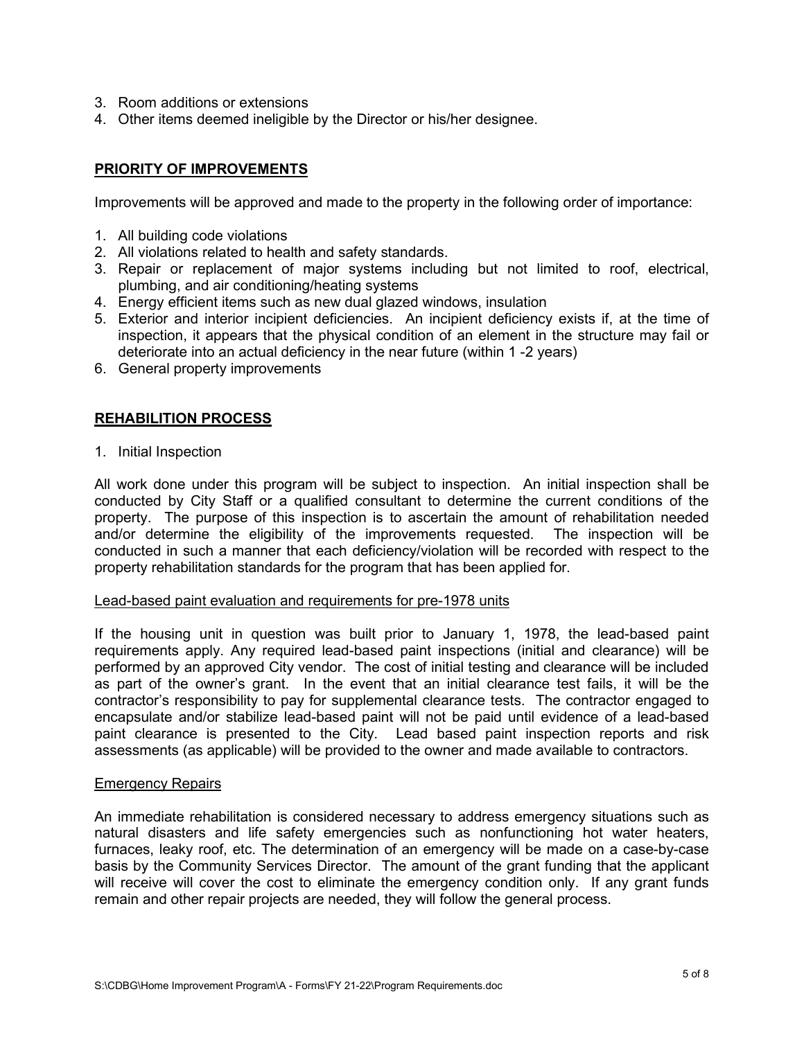- 3. Room additions or extensions
- 4. Other items deemed ineligible by the Director or his/her designee.

## **PRIORITY OF IMPROVEMENTS**

Improvements will be approved and made to the property in the following order of importance:

- 1. All building code violations
- 2. All violations related to health and safety standards.
- 3. Repair or replacement of major systems including but not limited to roof, electrical, plumbing, and air conditioning/heating systems
- 4. Energy efficient items such as new dual glazed windows, insulation
- 5. Exterior and interior incipient deficiencies. An incipient deficiency exists if, at the time of inspection, it appears that the physical condition of an element in the structure may fail or deteriorate into an actual deficiency in the near future (within 1 -2 years)
- 6. General property improvements

## **REHABILITION PROCESS**

1. Initial Inspection

All work done under this program will be subject to inspection. An initial inspection shall be conducted by City Staff or a qualified consultant to determine the current conditions of the property. The purpose of this inspection is to ascertain the amount of rehabilitation needed and/or determine the eligibility of the improvements requested. The inspection will be conducted in such a manner that each deficiency/violation will be recorded with respect to the property rehabilitation standards for the program that has been applied for.

#### Lead-based paint evaluation and requirements for pre-1978 units

If the housing unit in question was built prior to January 1, 1978, the lead-based paint requirements apply. Any required lead-based paint inspections (initial and clearance) will be performed by an approved City vendor. The cost of initial testing and clearance will be included as part of the owner's grant. In the event that an initial clearance test fails, it will be the contractor's responsibility to pay for supplemental clearance tests. The contractor engaged to encapsulate and/or stabilize lead-based paint will not be paid until evidence of a lead-based paint clearance is presented to the City. Lead based paint inspection reports and risk assessments (as applicable) will be provided to the owner and made available to contractors.

#### Emergency Repairs

An immediate rehabilitation is considered necessary to address emergency situations such as natural disasters and life safety emergencies such as nonfunctioning hot water heaters, furnaces, leaky roof, etc. The determination of an emergency will be made on a case-by-case basis by the Community Services Director. The amount of the grant funding that the applicant will receive will cover the cost to eliminate the emergency condition only. If any grant funds remain and other repair projects are needed, they will follow the general process.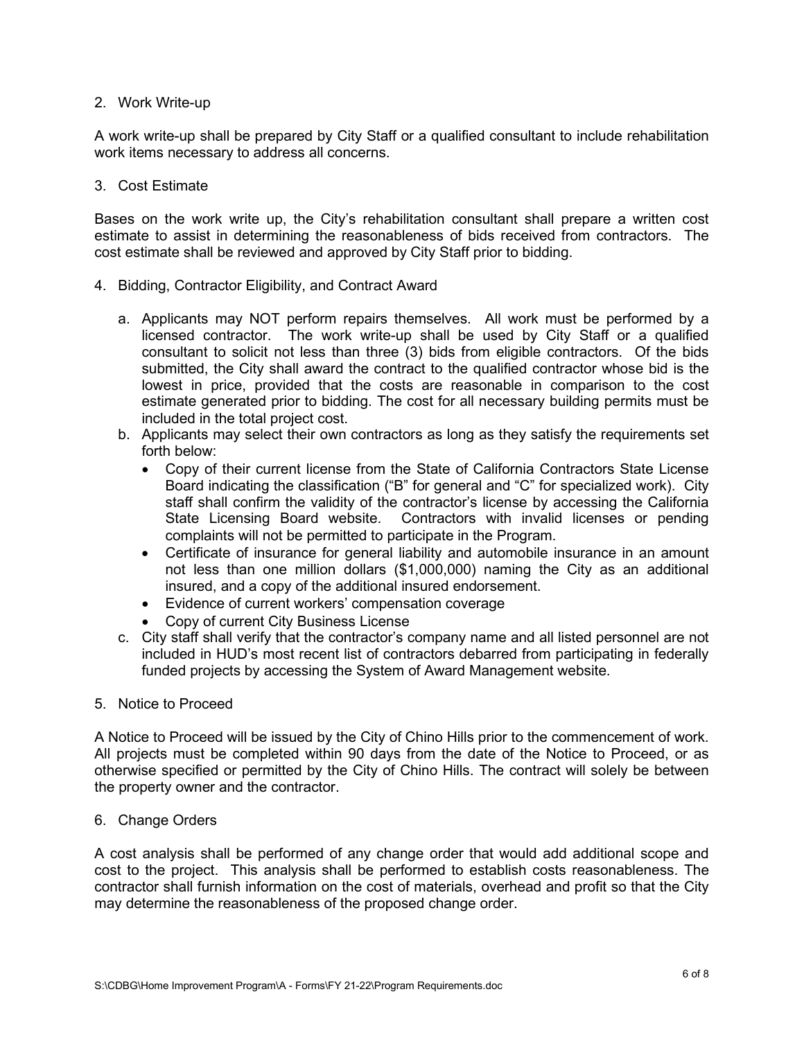## 2. Work Write-up

A work write-up shall be prepared by City Staff or a qualified consultant to include rehabilitation work items necessary to address all concerns.

## 3. Cost Estimate

Bases on the work write up, the City's rehabilitation consultant shall prepare a written cost estimate to assist in determining the reasonableness of bids received from contractors. The cost estimate shall be reviewed and approved by City Staff prior to bidding.

- 4. Bidding, Contractor Eligibility, and Contract Award
	- a. Applicants may NOT perform repairs themselves. All work must be performed by a licensed contractor. The work write-up shall be used by City Staff or a qualified consultant to solicit not less than three (3) bids from eligible contractors. Of the bids submitted, the City shall award the contract to the qualified contractor whose bid is the lowest in price, provided that the costs are reasonable in comparison to the cost estimate generated prior to bidding. The cost for all necessary building permits must be included in the total project cost.
	- b. Applicants may select their own contractors as long as they satisfy the requirements set forth below:
		- Copy of their current license from the State of California Contractors State License Board indicating the classification ("B" for general and "C" for specialized work). City staff shall confirm the validity of the contractor's license by accessing the California State Licensing Board website. Contractors with invalid licenses or pending complaints will not be permitted to participate in the Program.
		- Certificate of insurance for general liability and automobile insurance in an amount not less than one million dollars (\$1,000,000) naming the City as an additional insured, and a copy of the additional insured endorsement.
		- Evidence of current workers' compensation coverage
		- Copy of current City Business License
	- c. City staff shall verify that the contractor's company name and all listed personnel are not included in HUD's most recent list of contractors debarred from participating in federally funded projects by accessing the System of Award Management website.

## 5. Notice to Proceed

A Notice to Proceed will be issued by the City of Chino Hills prior to the commencement of work. All projects must be completed within 90 days from the date of the Notice to Proceed, or as otherwise specified or permitted by the City of Chino Hills. The contract will solely be between the property owner and the contractor.

## 6. Change Orders

A cost analysis shall be performed of any change order that would add additional scope and cost to the project. This analysis shall be performed to establish costs reasonableness. The contractor shall furnish information on the cost of materials, overhead and profit so that the City may determine the reasonableness of the proposed change order.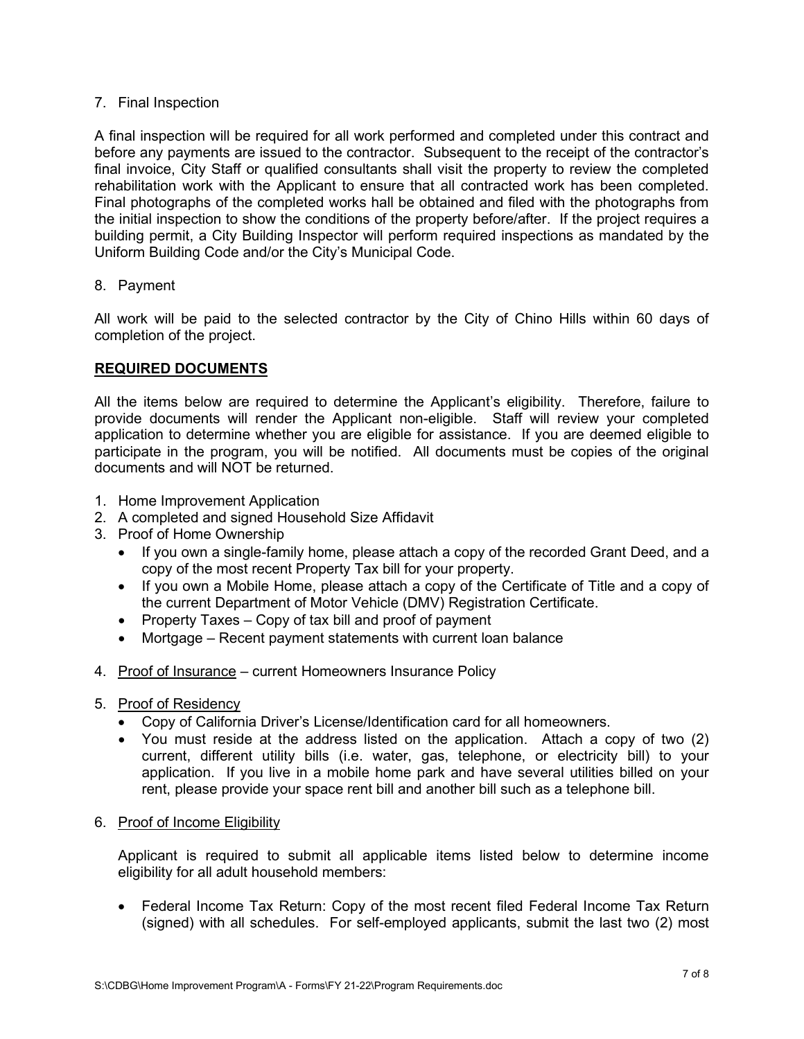## 7. Final Inspection

A final inspection will be required for all work performed and completed under this contract and before any payments are issued to the contractor. Subsequent to the receipt of the contractor's final invoice, City Staff or qualified consultants shall visit the property to review the completed rehabilitation work with the Applicant to ensure that all contracted work has been completed. Final photographs of the completed works hall be obtained and filed with the photographs from the initial inspection to show the conditions of the property before/after. If the project requires a building permit, a City Building Inspector will perform required inspections as mandated by the Uniform Building Code and/or the City's Municipal Code.

## 8. Payment

All work will be paid to the selected contractor by the City of Chino Hills within 60 days of completion of the project.

## **REQUIRED DOCUMENTS**

All the items below are required to determine the Applicant's eligibility. Therefore, failure to provide documents will render the Applicant non-eligible. Staff will review your completed application to determine whether you are eligible for assistance. If you are deemed eligible to participate in the program, you will be notified. All documents must be copies of the original documents and will NOT be returned.

- 1. Home Improvement Application
- 2. A completed and signed Household Size Affidavit
- 3. Proof of Home Ownership
	- If you own a single-family home, please attach a copy of the recorded Grant Deed, and a copy of the most recent Property Tax bill for your property.
	- If you own a Mobile Home, please attach a copy of the Certificate of Title and a copy of the current Department of Motor Vehicle (DMV) Registration Certificate.
	- Property Taxes Copy of tax bill and proof of payment
	- Mortgage Recent payment statements with current loan balance
- 4. Proof of Insurance current Homeowners Insurance Policy
- 5. Proof of Residency
	- Copy of California Driver's License/Identification card for all homeowners.
	- You must reside at the address listed on the application. Attach a copy of two (2) current, different utility bills (i.e. water, gas, telephone, or electricity bill) to your application. If you live in a mobile home park and have several utilities billed on your rent, please provide your space rent bill and another bill such as a telephone bill.
- 6. Proof of Income Eligibility

Applicant is required to submit all applicable items listed below to determine income eligibility for all adult household members:

• Federal Income Tax Return: Copy of the most recent filed Federal Income Tax Return (signed) with all schedules. For self-employed applicants, submit the last two (2) most